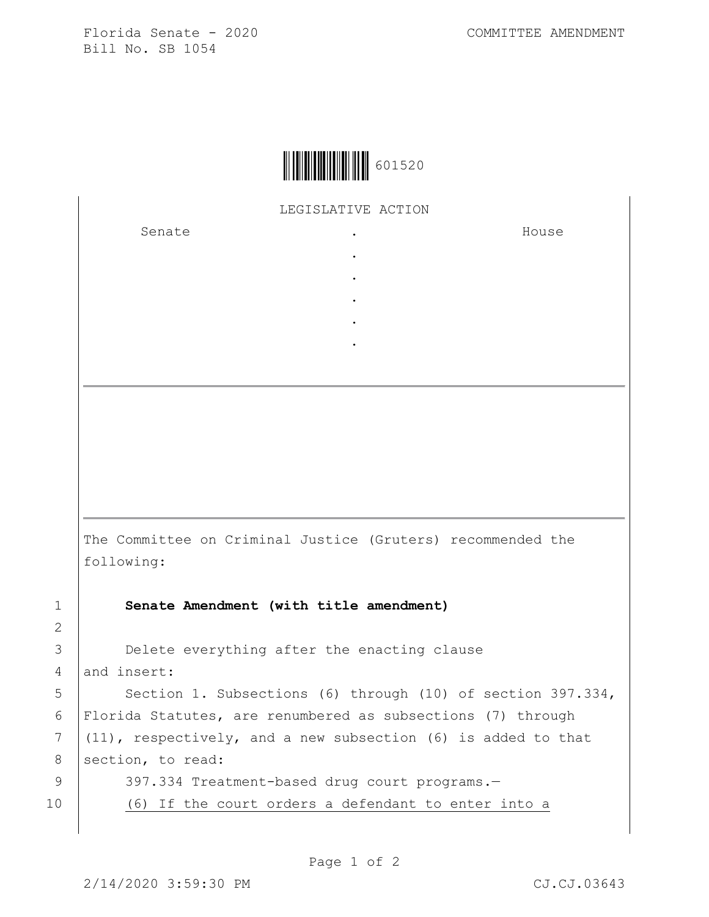Florida Senate - 2020 COMMITTEE AMENDMENT Bill No. SB 1054



LEGISLATIVE ACTION

. . . . .

Senate .

House

The Committee on Criminal Justice (Gruters) recommended the following:

1 **Senate Amendment (with title amendment)**

3 Delete everything after the enacting clause 4 and insert:

5 | Section 1. Subsections (6) through (10) of section 397.334, 6 Florida Statutes, are renumbered as subsections (7) through  $7$  (11), respectively, and a new subsection (6) is added to that 8 section, to read: 9 397.334 Treatment-based drug court programs.-

10 (6) If the court orders a defendant to enter into a

2

Page 1 of 2